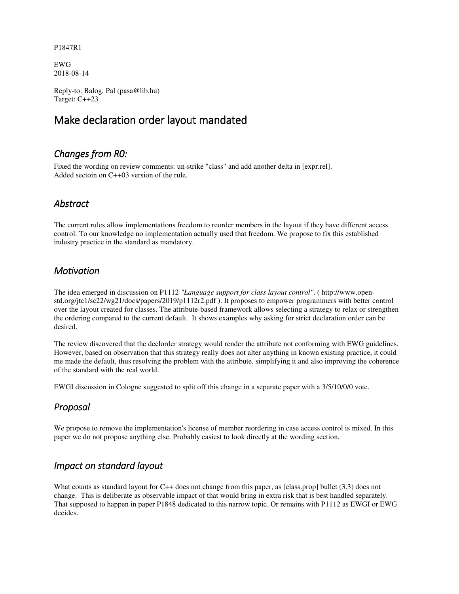#### P1847R1

EWG 2018-08-14

Reply-to: Balog, Pal (pasa@lib.hu) Target: C++23

# Make declaration order layout mandated

# *Changes from R0:*

Fixed the wording on review comments: un-strike "class" and add another delta in [expr.rel]. Added sectoin on C++03 version of the rule.

#### *Abstract*

The current rules allow implementations freedom to reorder members in the layout if they have different access control. To our knowledge no implementation actually used that freedom. We propose to fix this established industry practice in the standard as mandatory.

#### *Motivation*

The idea emerged in discussion on P1112 *"Language support for class layout control"*. ( http://www.openstd.org/jtc1/sc22/wg21/docs/papers/2019/p1112r2.pdf ). It proposes to empower programmers with better control over the layout created for classes. The attribute-based framework allows selecting a strategy to relax or strengthen the ordering compared to the current default. It shows examples why asking for strict declaration order can be desired.

The review discovered that the declorder strategy would render the attribute not conforming with EWG guidelines. However, based on observation that this strategy really does not alter anything in known existing practice, it could me made the default, thus resolving the problem with the attribute, simplifying it and also improving the coherence of the standard with the real world.

EWGI discussion in Cologne suggested to split off this change in a separate paper with a 3/5/10/0/0 vote.

# *Proposal*

We propose to remove the implementation's license of member reordering in case access control is mixed. In this paper we do not propose anything else. Probably easiest to look directly at the wording section.

#### *Impact on standard layout*

What counts as standard layout for C++ does not change from this paper, as [class.prop] bullet (3.3) does not change. This is deliberate as observable impact of that would bring in extra risk that is best handled separately. That supposed to happen in paper P1848 dedicated to this narrow topic. Or remains with P1112 as EWGI or EWG decides.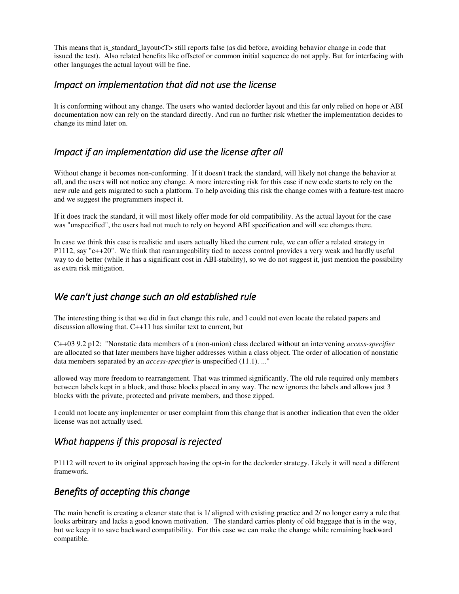This means that is standard layout<T> still reports false (as did before, avoiding behavior change in code that issued the test). Also related benefits like offsetof or common initial sequence do not apply. But for interfacing with other languages the actual layout will be fine.

#### *Impact on implementation that did not use the license*

It is conforming without any change. The users who wanted declorder layout and this far only relied on hope or ABI documentation now can rely on the standard directly. And run no further risk whether the implementation decides to change its mind later on.

#### *Impact if an implementation did use the license after all*

Without change it becomes non-conforming. If it doesn't track the standard, will likely not change the behavior at all, and the users will not notice any change. A more interesting risk for this case if new code starts to rely on the new rule and gets migrated to such a platform. To help avoiding this risk the change comes with a feature-test macro and we suggest the programmers inspect it.

If it does track the standard, it will most likely offer mode for old compatibility. As the actual layout for the case was "unspecified", the users had not much to rely on beyond ABI specification and will see changes there.

In case we think this case is realistic and users actually liked the current rule, we can offer a related strategy in P1112, say "c++20". We think that rearrangeability tied to access control provides a very weak and hardly useful way to do better (while it has a significant cost in ABI-stability), so we do not suggest it, just mention the possibility as extra risk mitigation.

#### *We can't just change such an old established rule*

The interesting thing is that we did in fact change this rule, and I could not even locate the related papers and discussion allowing that. C++11 has similar text to current, but

C++03 9.2 p12: "Nonstatic data members of a (non-union) class declared without an intervening *access-specifier* are allocated so that later members have higher addresses within a class object. The order of allocation of nonstatic data members separated by an *access-specifier* is unspecified (11.1). ..."

allowed way more freedom to rearrangement. That was trimmed significantly. The old rule required only members between labels kept in a block, and those blocks placed in any way. The new ignores the labels and allows just 3 blocks with the private, protected and private members, and those zipped.

I could not locate any implementer or user complaint from this change that is another indication that even the older license was not actually used.

# *What happens if this proposal is rejected*

P1112 will revert to its original approach having the opt-in for the declorder strategy. Likely it will need a different framework.

#### *Benefits of accepting this change*

The main benefit is creating a cleaner state that is 1/ aligned with existing practice and 2/ no longer carry a rule that looks arbitrary and lacks a good known motivation. The standard carries plenty of old baggage that is in the way, but we keep it to save backward compatibility. For this case we can make the change while remaining backward compatible.